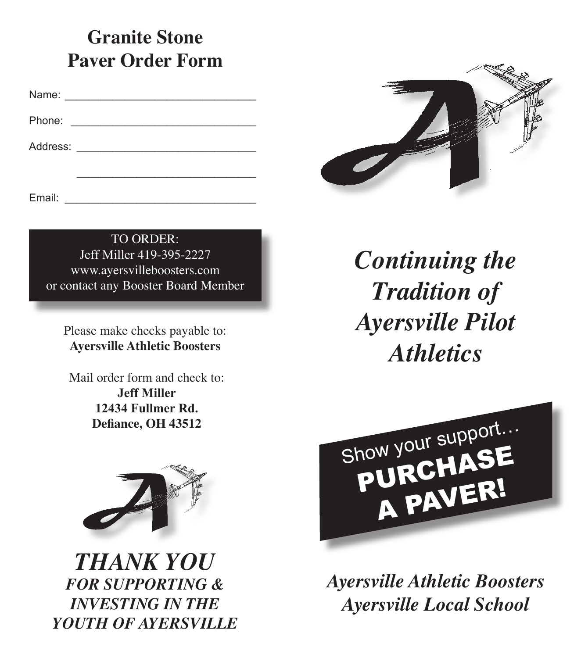## **Granite Stone Paver Order Form**

Name: \_\_\_\_\_\_\_\_\_\_\_\_\_\_\_\_\_\_\_\_\_\_\_\_\_\_\_\_\_\_\_\_

Phone:

Address: \_\_\_\_\_\_\_\_\_\_\_\_\_\_\_\_\_\_\_\_\_\_\_\_\_\_\_\_\_\_

Email:  $\blacksquare$ 

TO ORDER: Jeff Miller 419-395-2227 www.ayersvilleboosters.com or contact any Booster Board Member

Address: \_\_\_\_\_\_\_\_\_\_\_\_\_\_\_\_\_\_\_\_\_\_\_\_\_\_\_\_\_\_

Please make checks payable to: **Ayersville Athletic Boosters**

Mail order form and check to: **Jeff Miller 12434 Fullmer Rd. Defiance, OH 43512**



*THANK YOU FOR SUPPORTING & INVESTING IN THE YOUTH OF AYERSVILLE*



*Continuing the Tradition of Ayersville Pilot Athletics*



*Ayersville Athletic Boosters Ayersville Local School*